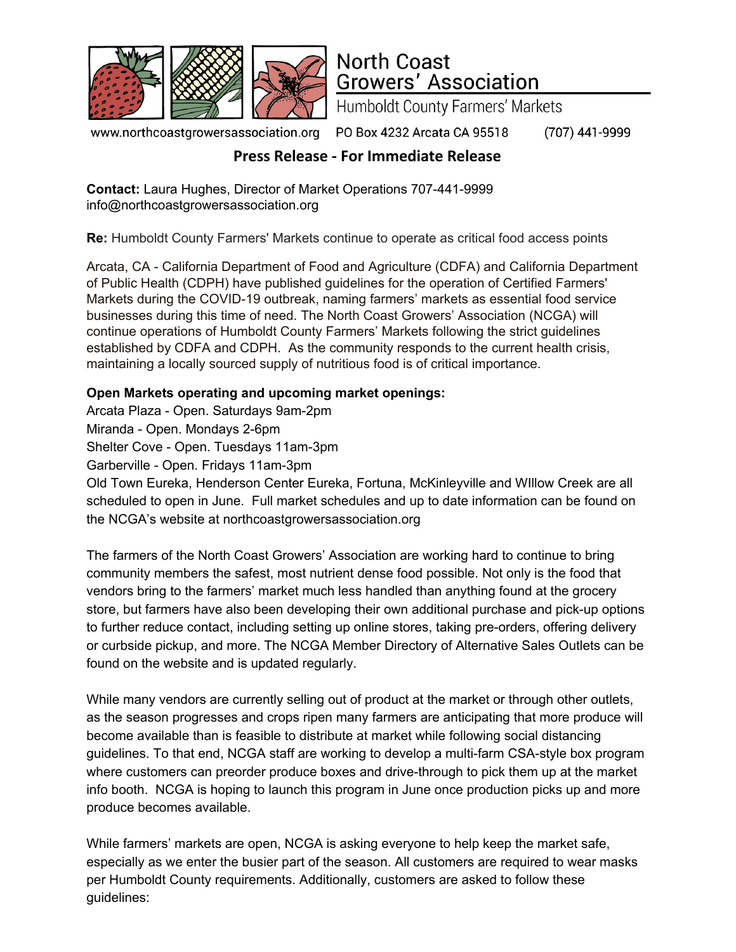

## **North Coast Growers' Association**

**Humboldt County Farmers' Markets** 

www.northcoastgrowersassociation.org

PO Box 4232 Arcata CA 95518

(707) 441-9999

## **Press Release - For Immediate Release**

**Contact:** Laura Hughes, Director of Market Operations 707-441-9999 info@northcoastgrowersassociation.org

**Re:** Humboldt County Farmers' Markets continue to operate as critical food access points

Arcata, CA - California Department of Food and Agriculture (CDFA) and California Department of Public Health (CDPH) have published guidelines for the operation of Certified Farmers' Markets during the COVID-19 outbreak, naming farmers' markets as essential food service businesses during this time of need. The North Coast Growers' Association (NCGA) will continue operations of Humboldt County Farmers' Markets following the strict guidelines established by CDFA and CDPH. As the community responds to the current health crisis, maintaining a locally sourced supply of nutritious food is of critical importance.

## **Open Markets operating and upcoming market openings:**

Arcata Plaza - Open. Saturdays 9am-2pm

Miranda - Open. Mondays 2-6pm

Shelter Cove - Open. Tuesdays 11am-3pm

Garberville - Open. Fridays 11am-3pm

Old Town Eureka, Henderson Center Eureka, Fortuna, McKinleyville and WIllow Creek are all scheduled to open in June. Full market schedules and up to date information can be found on the NCGA's website at northcoastgrowersassociation.org

The farmers of the North Coast Growers' Association are working hard to continue to bring community members the safest, most nutrient dense food possible. Not only is the food that vendors bring to the farmers' market much less handled than anything found at the grocery store, but farmers have also been developing their own additional purchase and pick-up options to further reduce contact, including setting up online stores, taking pre-orders, offering delivery or curbside pickup, and more. The NCGA Member Directory of Alternative Sales Outlets can be found on the website and is updated regularly.

While many vendors are currently selling out of product at the market or through other outlets, as the season progresses and crops ripen many farmers are anticipating that more produce will become available than is feasible to distribute at market while following social distancing guidelines. To that end, NCGA staff are working to develop a multi-farm CSA-style box program where customers can preorder produce boxes and drive-through to pick them up at the market info booth. NCGA is hoping to launch this program in June once production picks up and more produce becomes available.

While farmers' markets are open, NCGA is asking everyone to help keep the market safe, especially as we enter the busier part of the season. All customers are required to wear masks per Humboldt County requirements. Additionally, customers are asked to follow these guidelines: